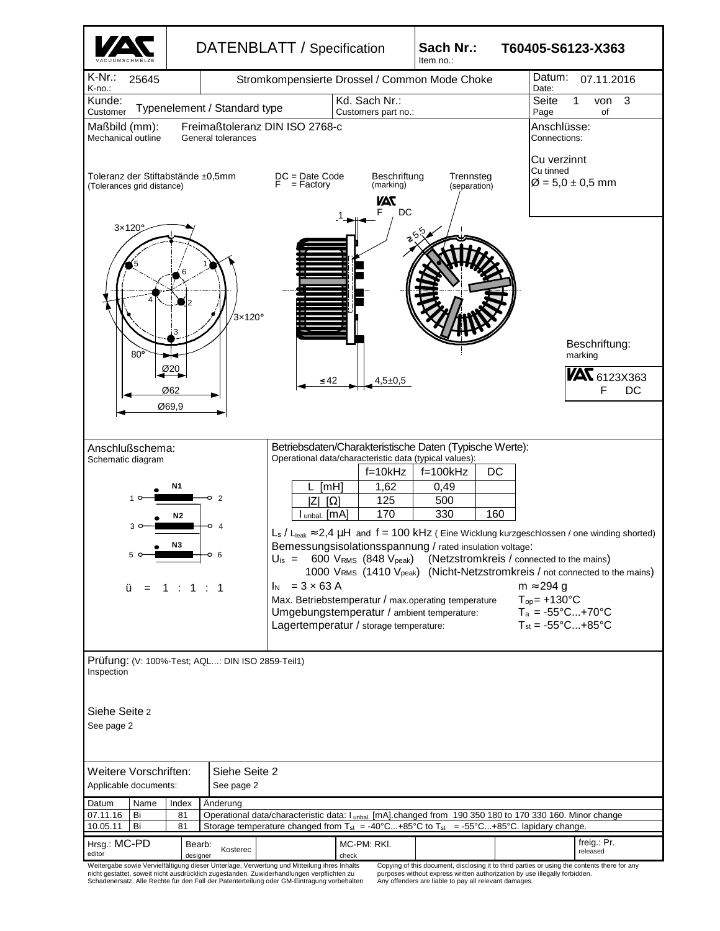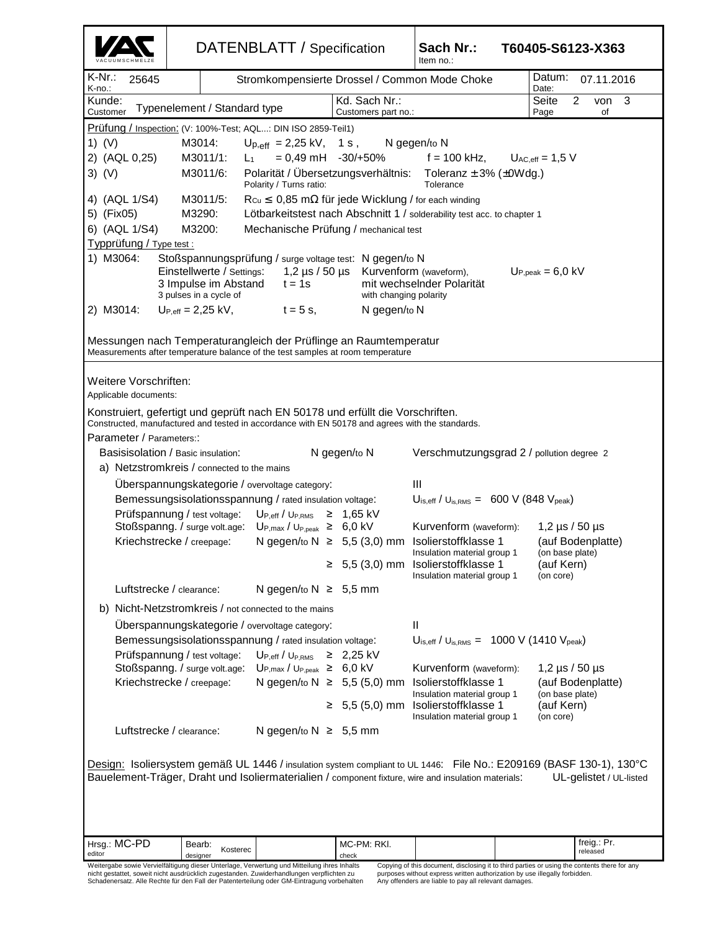|                                                                                                                                                                                                                                                                                                                                                                                                                                                                                                                                                                                                                                                                                                                                                                                                                                                                                                                                                                                                                                                                                                                                                                                                       |                                                           | DATENBLATT / Specification                                                                                                                                                                                                                                                                             |                                | Sach Nr.:<br>Item no.:                                                                                                                                                                                                              | T60405-S6123-X363    |                                                                                |
|-------------------------------------------------------------------------------------------------------------------------------------------------------------------------------------------------------------------------------------------------------------------------------------------------------------------------------------------------------------------------------------------------------------------------------------------------------------------------------------------------------------------------------------------------------------------------------------------------------------------------------------------------------------------------------------------------------------------------------------------------------------------------------------------------------------------------------------------------------------------------------------------------------------------------------------------------------------------------------------------------------------------------------------------------------------------------------------------------------------------------------------------------------------------------------------------------------|-----------------------------------------------------------|--------------------------------------------------------------------------------------------------------------------------------------------------------------------------------------------------------------------------------------------------------------------------------------------------------|--------------------------------|-------------------------------------------------------------------------------------------------------------------------------------------------------------------------------------------------------------------------------------|----------------------|--------------------------------------------------------------------------------|
| K-Nr.∶<br>25645<br>K-no.:                                                                                                                                                                                                                                                                                                                                                                                                                                                                                                                                                                                                                                                                                                                                                                                                                                                                                                                                                                                                                                                                                                                                                                             |                                                           | Stromkompensierte Drossel / Common Mode Choke                                                                                                                                                                                                                                                          |                                | Date:                                                                                                                                                                                                                               | Datum:<br>07.11.2016 |                                                                                |
| Kd. Sach Nr.:<br>Seite<br>$\overline{2}$<br>Kunde:<br>3<br>von<br>Typenelement / Standard type<br>Customer<br>Customers part no.:<br>Page<br>of                                                                                                                                                                                                                                                                                                                                                                                                                                                                                                                                                                                                                                                                                                                                                                                                                                                                                                                                                                                                                                                       |                                                           |                                                                                                                                                                                                                                                                                                        |                                |                                                                                                                                                                                                                                     |                      |                                                                                |
| Prüfung / Inspection: (V: 100%-Test; AQL: DIN ISO 2859-Teil1)<br>1) $(V)$<br>M3014:<br>$U_{p,eff}$ = 2,25 kV, 1 s,<br>N gegen/to N<br>$= 0,49$ mH $-30/+50\%$<br>2) (AQL 0,25)<br>M3011/1:<br>$f = 100$ kHz, $U_{AC,eff} = 1.5$ V<br>$L_{1}$<br>$3)$ (V)<br>Polarität / Übersetzungsverhältnis: Toleranz ± 3% (±0Wdg.)<br>M3011/6:<br>Polarity / Turns ratio:<br>Tolerance<br>4) (AQL 1/S4)<br>M3011/5:<br>$R_{Cu} \leq 0,85$ m $\Omega$ für jede Wicklung / for each winding<br>5) (Fix05)<br>M3290:<br>Lötbarkeitstest nach Abschnitt 1 / solderability test acc. to chapter 1<br>6) (AQL 1/S4)<br>M3200:<br>Mechanische Prüfung / mechanical test<br>Typprüfung / Type test :<br>1) M3064:<br>Stoßspannungsprüfung / surge voltage test: N gegen/to N<br>Einstellwerte / Settings:<br>1,2 µs / 50 µs Kurvenform (waveform),<br>$Up,peak = 6,0 kV$<br>3 Impulse im Abstand<br>mit wechselnder Polarität<br>$t = 1s$<br>3 pulses in a cycle of<br>with changing polarity<br>2) M3014:<br>$U_{P,eff} = 2,25$ kV,<br>$t = 5$ s,<br>N gegen/to N<br>Messungen nach Temperaturangleich der Prüflinge an Raumtemperatur<br>Measurements after temperature balance of the test samples at room temperature |                                                           |                                                                                                                                                                                                                                                                                                        |                                |                                                                                                                                                                                                                                     |                      |                                                                                |
| Weitere Vorschriften:<br>Applicable documents:<br>Konstruiert, gefertigt und geprüft nach EN 50178 und erfüllt die Vorschriften.<br>Constructed, manufactured and tested in accordance with EN 50178 and agrees with the standards.<br>Parameter / Parameters::<br>Basisisolation / Basic insulation:<br>N gegen/to N<br>Verschmutzungsgrad 2 / pollution degree 2                                                                                                                                                                                                                                                                                                                                                                                                                                                                                                                                                                                                                                                                                                                                                                                                                                    |                                                           |                                                                                                                                                                                                                                                                                                        |                                |                                                                                                                                                                                                                                     |                      |                                                                                |
| a) Netzstromkreis / connected to the mains<br>Uberspannungskategorie / overvoltage category:                                                                                                                                                                                                                                                                                                                                                                                                                                                                                                                                                                                                                                                                                                                                                                                                                                                                                                                                                                                                                                                                                                          |                                                           |                                                                                                                                                                                                                                                                                                        |                                |                                                                                                                                                                                                                                     |                      |                                                                                |
|                                                                                                                                                                                                                                                                                                                                                                                                                                                                                                                                                                                                                                                                                                                                                                                                                                                                                                                                                                                                                                                                                                                                                                                                       | Bemessungsisolationsspannung / rated insulation voltage:  | Ш<br>$U_{\text{is,eff}}$ / $U_{\text{is,RMS}} = 600 \text{ V}$ (848 $V_{\text{peak}}$ )                                                                                                                                                                                                                |                                |                                                                                                                                                                                                                                     |                      |                                                                                |
| Prüfspannung / test voltage:<br>$U_{P,eff}/U_{P,RMS} \geq 1,65$ kV                                                                                                                                                                                                                                                                                                                                                                                                                                                                                                                                                                                                                                                                                                                                                                                                                                                                                                                                                                                                                                                                                                                                    |                                                           |                                                                                                                                                                                                                                                                                                        |                                |                                                                                                                                                                                                                                     |                      |                                                                                |
|                                                                                                                                                                                                                                                                                                                                                                                                                                                                                                                                                                                                                                                                                                                                                                                                                                                                                                                                                                                                                                                                                                                                                                                                       | Kriechstrecke / creepage:                                 | Stoßspanng. / surge volt.age: $U_{P,max} / U_{P,peak} \geq 6.0$ kV<br>N gegen/to $N \geq 5,5$ (3,0) mm                                                                                                                                                                                                 | $≥ 5,5(3,0)$ mm                | Kurvenform (waveform):<br>Isolierstoffklasse 1<br>Insulation material group 1 (on base plate)<br>Isolierstoffklasse 1<br>Insulation material group 1                                                                                |                      | 1,2 $\mu$ s / 50 $\mu$ s<br>(auf Bodenplatte)<br>(auf Kern)<br>(on core)       |
|                                                                                                                                                                                                                                                                                                                                                                                                                                                                                                                                                                                                                                                                                                                                                                                                                                                                                                                                                                                                                                                                                                                                                                                                       | Luftstrecke / clearance:                                  | N gegen/to $N \geq 5,5$ mm                                                                                                                                                                                                                                                                             |                                |                                                                                                                                                                                                                                     |                      |                                                                                |
| b) Nicht-Netzstromkreis / not connected to the mains                                                                                                                                                                                                                                                                                                                                                                                                                                                                                                                                                                                                                                                                                                                                                                                                                                                                                                                                                                                                                                                                                                                                                  |                                                           |                                                                                                                                                                                                                                                                                                        |                                |                                                                                                                                                                                                                                     |                      |                                                                                |
|                                                                                                                                                                                                                                                                                                                                                                                                                                                                                                                                                                                                                                                                                                                                                                                                                                                                                                                                                                                                                                                                                                                                                                                                       | Prüfspannung / test voltage:<br>Kriechstrecke / creepage: | Uberspannungskategorie / overvoltage category:<br>Bemessungsisolationsspannung / rated insulation voltage:<br>$\mathsf{U}_{\mathsf{P},\mathsf{eff}}$ / $\mathsf{U}_{\mathsf{P},\mathsf{RMS}}$<br>Stoßspanng. / surge volt.age: $Up_{,max} / U_{P,peak} \ge 6,0$ kV<br>N gegen/to $N \geq 5,5$ (5,0) mm | $≥$ 2,25 kV<br>$≥ 5,5(5,0)$ mm | Ш<br>$U_{\text{is,eff}}$ / $U_{\text{is,RMS}} = 1000 \text{ V}$ (1410 $V_{\text{peak}}$ )<br>Kurvenform (waveform):<br>Isolierstoffklasse 1<br>Insulation material group 1<br>Isolierstoffklasse 1                                  |                      | 1,2 $\mu$ s / 50 $\mu$ s<br>(auf Bodenplatte)<br>(on base plate)<br>(auf Kern) |
|                                                                                                                                                                                                                                                                                                                                                                                                                                                                                                                                                                                                                                                                                                                                                                                                                                                                                                                                                                                                                                                                                                                                                                                                       | Luftstrecke / clearance:                                  | N gegen/to $N \geq 5,5$ mm                                                                                                                                                                                                                                                                             |                                | Insulation material group 1                                                                                                                                                                                                         |                      | (on core)                                                                      |
| Design: Isoliersystem gemäß UL 1446 / insulation system compliant to UL 1446: File No.: E209169 (BASF 130-1), 130°C<br>Bauelement-Träger, Draht und Isoliermaterialien / component fixture, wire and insulation materials:<br>UL-gelistet / UL-listed                                                                                                                                                                                                                                                                                                                                                                                                                                                                                                                                                                                                                                                                                                                                                                                                                                                                                                                                                 |                                                           |                                                                                                                                                                                                                                                                                                        |                                |                                                                                                                                                                                                                                     |                      |                                                                                |
| Hrsg.: MC-PD<br>editor                                                                                                                                                                                                                                                                                                                                                                                                                                                                                                                                                                                                                                                                                                                                                                                                                                                                                                                                                                                                                                                                                                                                                                                | Bearb:<br>Kosterec                                        |                                                                                                                                                                                                                                                                                                        | MC-PM: RKI.                    |                                                                                                                                                                                                                                     |                      | freig.: Pr.<br>released                                                        |
|                                                                                                                                                                                                                                                                                                                                                                                                                                                                                                                                                                                                                                                                                                                                                                                                                                                                                                                                                                                                                                                                                                                                                                                                       | designer                                                  | Weitergabe sowie Vervielfältigung dieser Unterlage, Verwertung und Mitteilung ihres Inhalts<br>nicht gestattet, soweit nicht ausdrücklich zugestanden. Zuwiderhandlungen verpflichten zu<br>Schadenersatz. Alle Rechte für den Fall der Patenterteilung oder GM-Eintragung vorbehalten                 | check                          | Copying of this document, disclosing it to third parties or using the contents there for any<br>purposes without express written authorization by use illegally forbidden.<br>Any offenders are liable to pay all relevant damages. |                      |                                                                                |